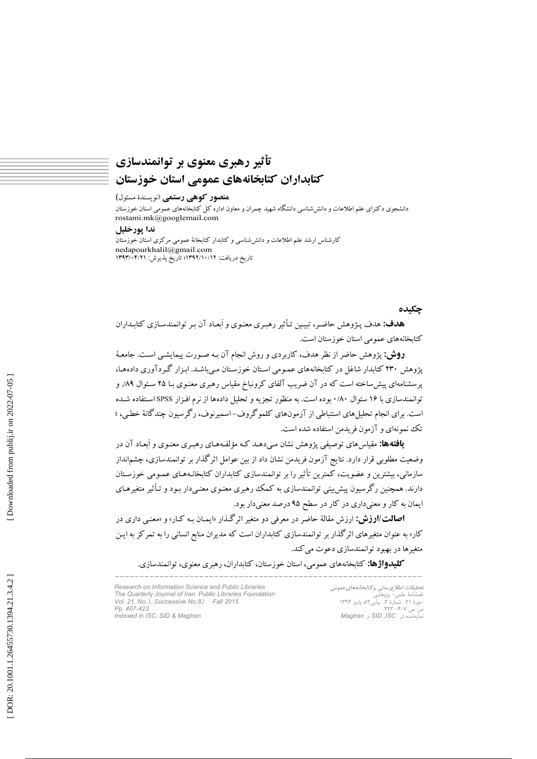# تأثير رهبري معنوي بر توانمندسازي کتابداران کتابخانههای عمومی استان خوزستان

### منصور کوهی رستمی (نویسندهٔ مسئول)

دانشجوی دکترای علم اطلاعات و دانششناسی دانشگاه شهید چمران و معاون اداره کل کتابخانههای عمومی استان خوزستان rostami.mk@googlemail.com

### ندا پورخليل

کارشناس ارشد علم اطلاعات و دانش شناسی و کتابدار کتابخانهٔ عمومی مرکزی استان خوزستان nedapourkhalil@gmail.com تاريخ دريافت: ١٣٩٢/١٠/١٣٩٢/ تاريخ پذيرش: ١٣٩٣/٠٣/٢١

### چکیده

هدف: هدف پـژوهش حاضـر، تبيـين تـأثير رهبـري معنـوي و اَبعـاد آن بـر توانمندسـازي كتابـداران كتابخانههاي عمومي استان خوزستان است.

**روش:** پژوهش حاضر از نظر هدف، کاربردی و روش انجام آن بـه صـورت پیمایشـی اسـت. جامعـهٔ پژوهش ۲۳۰ کتابدار شاغل در کتابخانههای عمـومی اسـتان خوزسـتان مـیباشـد. ابـزار گـردآوری دادههـا، پرسشنامهای پیش ساخته است که در آن ضریب آلفای کرونباخ مقیاس رهبری معنـوی بـا ۲۵ سـئوال ۸۹٪ و توانمندسازی با ۱۶ سئوال ۸۰/۰ بوده است. به منظور تجزیه و تحلیل دادهها از نرم افـزار SPSS اسـتفاده شـده است. برای انجام تحلیل های استنباطی از آزمونهای کلموگروف-اسمیرنوف، رگرسیون چندگانهٔ خطبی، t تک نمونهای و آزمون فریدمن استفاده شده است.

**یافته ها:** مقیاس های توصیفی پژوهش نشان مے دهـد کـه مؤلّفـههـای رهبـری معنـوی و اَبعـاد آن در وضعیت مطلوبی قرار دارد. نتایج آزمون فریدمن نشان داد از بین عوامل اثر گذار بر توانمندسازی، چشمانداز سازمانی، بیشترین و عضویت، کمترین تأثیر را بر توانمندسازی کتابداران کتابخانـههـای عمـومی خوزسـتان دارند. همچنین رگرسیون پیش بینی توانمندسازی به کمک رهبری معنـوی معنـیدار بـود و تـأثیر متغیرهـای ایمان به کار و معنیداری در کار در سطح ۹۵ درصد معنیدار بود.

**اصالت/ارزش:** ارزش مقالهٔ حاضر در معرفی دو متغیر اثرگذار «ایمـان بـه کـار» و «معنـی داری در کار» به عنوان متغیرهای اثرگذار بر توانمندسازی کتابداران است که مدیران منابع انسانی را به تمرکز به ایـن متغیرها در بهبود توانمندسازی دعوت می کند.

**کلیدواژها:** کتابخانههای عموم<sub>ه ،</sub>، استان خوزستان، کتابداران، رهبری معنوی، توانمندسازی.

Research on Information Science and Public Libraries The Quarterly Journal of Iran Public Libraries Foundation<br>Vol. 21, No.3, Successive No.82 Fall 2015 Pp. 407-423 Indexed in ISC, SID & MagIran

تحقيقات اطلاع رسانى وكتابخانههاى عمومى - دوره ۲۰۰۰ سپینې ۲۰۰۰ پیپو<br>ص ص ۴۰۷– ۴۲۳<br>نمایهشده در SID ,ISC و MagIran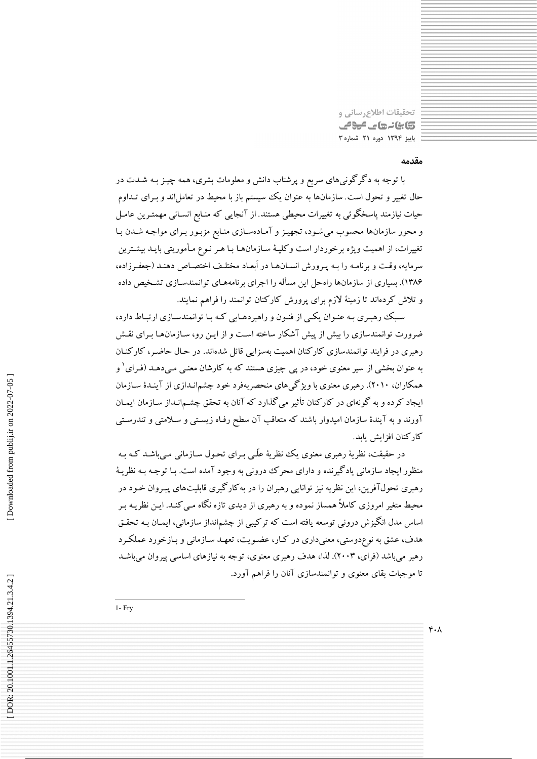تحقيقات اطلاع رساني و کابنانہ جات میون پاییز ۱۳۹۴ دوره ۲۱ شماره ۳

# مقدمه

 $\mathfrak{r} \cdot \lambda$ 

با توجه به دگرگونیهای سریع و پرشتاب دانش و معلومات بشری، همه چیـز بـه شـدت در حال تغییر و تحول است. سازمانها به عنوان یک سیستم باز با محیط در تعاملاند و بـرای تـداوم حیات نیازمند پاسخگوئی به تغییرات محیطی هستند. از آنجایی که منـابع انسـانی مهمتـرین عامـل و محور سازمانها محسوب میشود، تجهیز و آمادهسازی منابع مزبـور بـرای مواجـه شـدن بـا تغییرات، از اهمیت ویژه برخوردار است وکلیـهٔ سـازمانهـا بـا هـر نـوِع مـأموریتی بایـد بیشـترین سرمايه، وقت و برنامـه را بـه يـرورش انسـانهـا در أبعـاد مختلـف اختصـاص دهنـد (جعفـرزاده، ۱۳۸۶). بسیاری از سازمانها راهحل این مسأله را اجرای برنامههـای توانمندسـازی تشـخیص داده و تلاش کردهاند تا زمینهٔ لازم برای یرورش کارکنان توانمند را فراهم نمایند.

سبک رهبری به عنوان یکی از فنون و راهبردهایی که با توانمندسازی ارتباط دارد، ضرورت توانمندسازی را بیش از پیش آشکار ساخته است و از ایـن رو، سـازمانهـا بـرای نقـش رهبری در فرایند توانمندسازی کارکنان اهمیت بهسزایی قائل شدهاند. در حـال حاضـر، کارکنـان به عنوان بخشی از سیر معنوی خود، در پی چیزی هستند که به کارشان معنـی مـیدهـد (فـرای ٰ و همکاران، ۲۰۱۰). رهبری معنوی با ویژگیهای منحصربهفرد خود چشمانـدازی از آینـدهٔ سـازمان ابجاد کرده و به گونهای در کارکنان تأثیر می گذارد که آنان به تحقق چشــهانـداز سـازمان ایمـان .<br>آورند و به آیندهٔ سازمان امیدوار باشند که متعاقب آن سطح رفـاه زیسـتی و سـلامتی و تندرسـتی كاركنان افزایش باید.

در حقیقت، نظریهٔ رهبری معنوی یک نظریهٔ علّـی بـرای تحـول سـازمانی مـی،باشـد کـه بـه منظور ايجاد سازماني يادگيرنده و داراي محرک دروني به وجود آمده است. بـا توجـه بـه نظريـهٔ رهبری تحولآفرین، این نظریه نیز توانایی رهبران را در به کارگیری قابلیتهای پیـروان خـود در محیط متغیر امروزی کاملاً همساز نموده و به رهبری از دیدی تازه نگاه مـی کنـد. ایـن نظریـه بـر اساس مدل انگیزش درونی توسعه یافته است که ترکیبی از چشم|نداز سازمانی، ایمـان بـه تحقـق هدف، عشق به نوعٖدوستی، معنیداری در کـار، عضـویت، تعهـد سـازمانی و بـازخورد عملکـرد رهبر میباشد (فرای، ۲۰۰۳). لذا، هدف رهبری معنوی، توجه به نیازهای اساسی پیروان میباشد تا موجبات بقای معنوی و توانمندسازی آنان را فراهم آورد.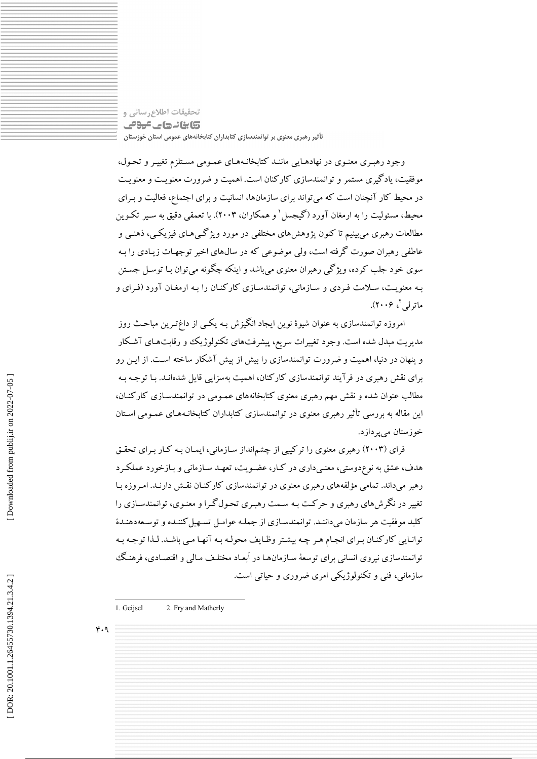تحقیقات اطلاع رسانی و **تابانے جاتے ہوئے** تأثیر رهبری معنوی بر توانمندسازی کتابداران کتابخانههای عمومی استان خوزستان

وجود رهبـری معنـوی در نهادهـایی ماننـد کتابخانـههـای عمـومی مسـتلزم تغییـر و تحـول، موفقیت، یادگیری مستمر و توانمندسازی کارکنان است. اهمیت و ضرورت معنویت و معنویت در محیط کار آنچنان است که می تواند برای سازمانها، انسانیت و برای اجتماع، فعالیت و بـرای محیط، مسئولیت را به ارمغان آورد (گیجسل ٰ و همکاران، ۲۰۰۳). با تعمقی دقیق به سـیر تکـوین مطالعات رهبري مي بينيم تا کنون پژوهش هاي مختلفي در مورد ويژگے هـاي فيزيکـي، ذهنـي و عاطفی رهبران صورت گرفته است، ولی موضوعی که در سال های اخیر توجهـات زیـادی را بـه سوي خود جلب کرده، ويژگي رهبران معنوي مي باشد و اينکه چگونه مي توان بـا توسـل جسـتن بـه معنویـت، سـلامت فـردی و سـازمانی، توانمندسـازی کارکنـان را بـه ارمغـان آورد (فـرای و ماترلمي کې ۲۰۰۶).

امروزه توانمندسازی به عنوان شیوهٔ نوین ایجاد انگیزش بـه یکـی از داغ=تـرین مباحـث روز مدیریت مبدل شده است. وجود تغییرات سریع، پیشرفتهای تکنولوژیک وو رقابتهای آشکار و پنهان در دنیا، اهمیت و ضرورت توانمندسازی را بیش از پیش آشکار ساخته است. از ایـن رو برای نقش رهبری در فرآیند توانمندسازی کارکنان، اهمیت بهسزایی قایل شدهانـد. بـا توجـه بـه مطالب عنوان شده و نقش مهم رهبری معنوی کتابخانههای عمـومی در توانمندسـازی کارکنـان، این مقاله به بررسی تأثیر رهبری معنوی در توانمندسازی کتابداران کتابخانـههـای عمـومی اسـتان خوزستان مي پردازد.

فرای (۲۰۰۳) رهبری معنوی را ترکیبی از چشمانداز سازمانی، ایمـان بـه کـار بـرای تحقـق هدف، عشق به نوعٖدوستی، معنـیداری در کـار، عضـویت، تعهـد سـازمانی و بـازخورد عملکـرد رهبر میداند. تمامی مؤلفههای رهبری معنوی در توانمندسازی کارکنـان نقـش دارنـد. امـروزه بـا تغییر در نگرش های رهبری و حرکت بـه سـمت رهبـری تحـول گـرا و معنـوی، توانمندسـازی را کلید موفقیت هر سازمان می داننـد. توانمندسـازی از جملـه عوامـل تسـهیل کننـده و توسـعهدهنـدهٔ توانایی کارکنان برای انجام هر چه بیشتر وظایف محوله بـه آنهـا مـی باشـد. لـذا توجـه بـه توانمندسازی نیروی انسانی برای توسعهٔ سـازمانهـا در اَبعـاد مختلـف مـالی و اقتصـادی، فرهنـگ سازمانی، فنی و تکنولوژیکی امری ضروری و حیاتی است.

 $F.9$ 

<sup>1.</sup> Geiisel 2. Fry and Matherly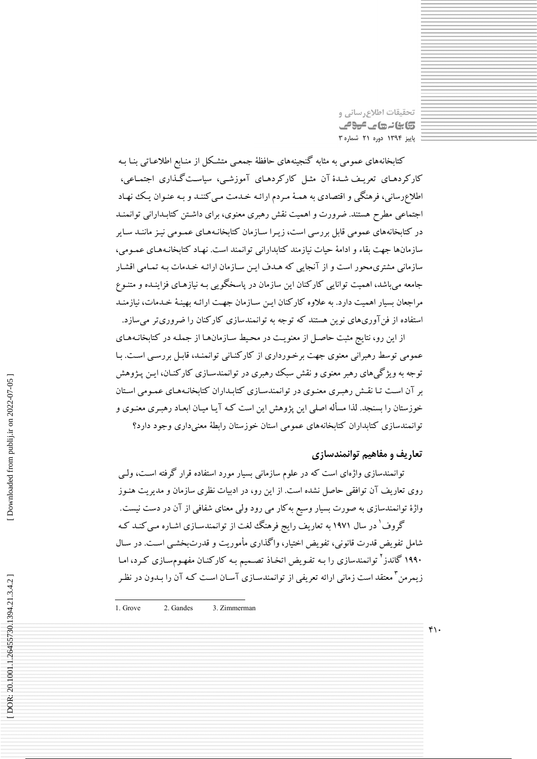تحقيقات اطلاع رساني و کابنانہ جات میون پاییز ۱۳۹۴ دوره ۲۱ شماره ۳

کتابخانههای عمومی به مثابه گنجینههای حافظهٔ جمعـی متشـکل از منـابع اطلاعـاتی بنـا بـه کارکردهـای تعریـف شـدهٔ آن مثـل کارکردهـای آموزشـی، سیاسـتگـذاری اجتمـاعی، اطلاعِرسانی، فرهنگی و اقتصادی به همـهٔ مـردم ارائـه خـدمت مـی کننـد و بـه عنـوان یـک نهـاد اجتماعی مطرح هستند. ضرورت و اهمیت نقش رهبری معنوی، برای داشتن کتابـدارانی توانمنـد در کتابخانههای عمومی قابل بررسی است، زیـرا سـازمان کتابخانـههـای عمـومی نیـز ماننـد سـایر سازمانها جهت بقاء و ادامهٔ حیات نیازمند کتابدارانی توانمند است. نهـاد کتابخانـههـای عمـومی، سازمانی مشتری،محور است و از آنجایی که هـدف ایـن سـازمان ارائـه خـدمات بـه تمـامی اقشـار جامعه می باشد، اهمیت توانایی کارکنان این سازمان در پاسخگویی بـه نیازهـای فزاینـده و متنـوع مراجعان بسیار اهمیت دارد. به علاوه کارکنان این سازمان جهت ارائـه بهینـهٔ خـدمات، نیازمنـد استفاده از فنآوریهای نوین هستند که توجه به توانمندسازی کارکنان را ضروریتر میسازد.

از این رو، نتایج مثبت حاصل از معنویت در محیط سازمانها از جمله در کتابخانـههـای عمومی توسط رهبرانی معنوی جهت برخورداری از کارکنـانی توانمنـد، قابـل بررسـی اسـت. بـا توجه به ویژگیهای رهبر معنوی و نقش سبک رهبری در توانمندسـازی کارکنـان، ایـن پـژوهش بر آن است تـا نقـش رهبـري معنـوي در توانمندسـازي كتابـداران كتابخانـههـاي عمـومي اسـتان خوزستان را بسنجد. لذا مسأله اصلی این پژوهش این است کـه آیـا میـان ابعـاد رهبـری معنـوی و توانمندسازى كتابداران كتابخانههاى عمومى استان خوزستان رابطة معنىدارى وجود دارد؟

# تعاریف و مفاهیم توانمندسازی

 $f \cdot$ 

توانمندسازی واژهای است که در علوم سازمانی بسیار مورد استفاده قرار گرفته اسـت، ولـی روی تعاریف آن توافقی حاصل نشده است. از این رو، در ادبیات نظری سازمان و مدیریت هنـوز واژهٔ توانمندسازی به صورت بسیار وسیع بهکار می رود ولی معنای شفافی از آن در دست نیست. گروف ٰ در سال ۱۹۷۱ به تعاریف رایج فرهنگ لغت از توانمندسـازی اشـاره مـی کنـد کـه شامل تفويض قدرت قانوني، تفويض اختيار، واگذاري مأموريت و قدرتبخشـي اسـت. در سـال

۱۹۹۰ گاندز<sup>۲</sup> توانمندسازی را بـه تفـویض اتخـاذ تصـمیم بـه کارکنـان مفهـوم٬سازی کـرد، امـا زیمرمن<sup>۳</sup> معتقد است زمانی ارائه تعریفی از توانمندسـازی آسـان اسـت کـه آن را بـدون در نظـر

1. Grove 2. Gandes 3. Zimmerman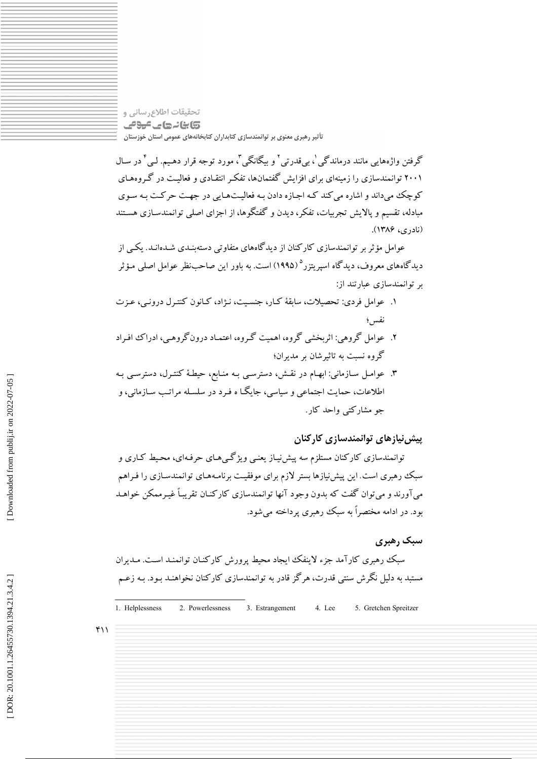تحقیقات اطلاع رسانی و **تابانہ جات میونی** تأثیر رهبری معنوی بر توانمندسازی کتابداران کتابخانههای عمومی استان خوزستان

گرفتن واژههایی مانند درماندگی '، بی قدرتی ' و بیگانگی '، مورد توجه قرار دهـیم. لـی ٔ در سـال ۲۰۰۱ توانمندسازی را زمینهای برای افزایش گفتمانها، تفکر انتقـادی و فعالیـت در گـروههـای کوچک می داند و اشاره می کند کـه اجـازه دادن بـه فعالیـتهـایی در جهـت حرکـت بـه سـوی مبادله، تقسیم و یالایش تجربیات، تفکر، دیدن و گفتگوها، از اجزای اصلی توانمندسـازی هسـتند (نادري، ۱۳۸۶).

عوامل مؤ ثر بر توانمندسازی کارکنان از دیدگاههای متفاوتی دستهیندی شـدهانـد. یکـی از دیدگاههای معروف، دیدگاه اسپریتزر<sup>ه</sup> (۱۹۹۵) است. به باور این صاحبنظر عوامل اصلی مـؤثر بر توانمندسازی عبارتند از:

- ١. عوامل فردي: تحصيلات، سابقهٔ كيار، جنسيت، نــ;اد، كيانون كنتـرل درونـي، عــزت نفس؛
- ۲. عوامل گروهی: اثربخشی گروه، اهمیت گـروه، اعتمـاد درونگروهـی، ادراک افـراد گروه نست به تاثیرشان بر مدیران؛
- ۳. عوامل سازمانی: ابهام در نقش، دسترسبی بـه منـابع، حیطهٔ کنتـرل، دسترسـی بـه اطلاعات، حمایت اجتماعی و سیاسی، جایگـا ه فـرد در سلسـله مراتـب سـازمانی، و جو مشارکتے واحد کار .

# پیش نیازهای توانمندسازی کارکنان

توانمندسازی کارکنان مستلزم سه پیش نیـاز یعنـی ویژگـی۵حـای حرفـهای، محـیط کـاری و سبک رهبری است این پیش نیازها بستر لازم برای موفقیت برنامـههـای توانمندسـازی را فـراهم میآورند و میتوان گفت که بدون وجود آنها توانمندسازی کارکنـان تقریبـاً غیـرممکن خواهـد بود. در ادامه مختصراً به سبک رهبری پرداخته میشود.

# سیک رهبری

سبک رهبری کارآمد جزء لاینفک ایجاد محیط پرورش کارکنـان توانمنـد اسـت. مـدیران مستبد به دلیل نگرش سنتی قدرت، هرگز قادر به توانمندسازی کارکنان نخواهنـد بـود. بـه زعـم

1. Helplessness 4. Lee 2. Powerlessness 3. Estrangement 5. Gretchen Spreitzer

 $f(1)$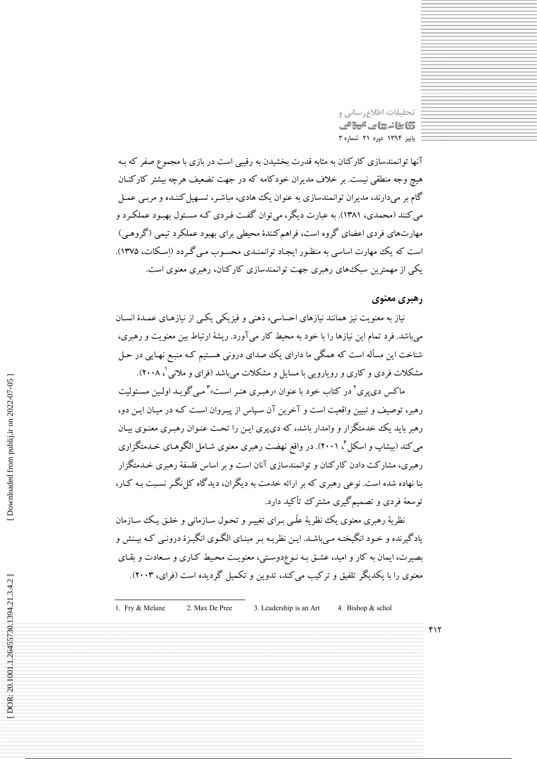تحقيقات اطلاع رساني و کابنانہ جات میون پاییز ۱۳۹۴ دوره ۲۱ شماره ۳

آنها توانمندسازی کارکنان به مثابه قدرت بخشیدن به رقیبی است در بازی با مجموع صفر که بـه هیج وجه منطقی نیست. بر خلاف مدیران خودکامه که در جهت تضعیف هرچه بیشتر کارکنـان گام بر میدارند، مدیران توانمندسازی به عنوان یک هادی، مباشـر، تسـهیل کننـده و مربـی عمـل می کنند (محمدی، ۱۳۸۱). به عبارت دیگر، می توان گفت فـردی کـه مسـئول بهبـود عملکـرد و مهارتهای فردی اعضای گروه است، فراهم کنندهٔ محیطی برای بهبود عملکرد تبمی (گروهبی) است که یک مهارت اساسی به منظـور ایجـاد توانمنـدی محسـوب مـی گـردد (اسـکات، ۱۳۷۵). یکی از مهمترین سبک های رهبری جهت توانمندسازی کارکنان، رهبری معنوی است.

# رهبري معنوي

نیاز به معنویت نیز همانند نیازهای احساسی، ذهنی و فیزیکی یکسی از نیازهـای عمـدهٔ انسـان می باشد. فرد تمام این نیازها را با خود به محیط کار می آورد. ریشهٔ ارتباط بین معنویت و رهبری، شناخت این مسأله است که همگی ما دارای یک صدای درونی هستیم کـه منبـع نهـایی در حـل مشکلات فردی و کاری و رویارویی با مسایل و مشکلات می باشد (فرای و ملانی '، ۲۰۰۸).

ماکس دی یوی<sup>۲</sup> در کتاب خود با عنوان «رهبـری هنـر اسـت»<sup>۳</sup> مـی گویـد اولـین مسـئولیت رهبر، توصیف و تبیین واقعیت است و آخرین آن سپاس از پیـروان اسـت کـه در میـان ایـن دو، رهبر باید یک خدمتگزار و وامدار باشد، که دی پری ایـن را تحت عنـوان رهبـری معنـوی بیـان می کند (بیشاپ و اسکل ٔ ۲۰۰۱). در واقع نهضت رهبری معنوی شـامل الگوهـای خـدمتگزاری رهبری، مشارکت دادن کارکنان و توانمندسازی آنان است و بر اساس فلسفهٔ رهبری خـدمتگزار بنا نهاده شده است. نوعی رهبری که بر ارائه خدمت به دیگران، دیدگاه کل نگـر نسـبت بـه کـار، توسعهٔ فردی و تصمیم گیری مشترک تأکید دارد.

نظریهٔ رهبری معنوی یک نظریهٔ علّمی بـرای تغییـر و تحـول سـازمانبی و خلـق یـک سـازمان یادگیرنده و خـود انگیختـه مـیباشـد. ایـن نظریـه بـر مبنـای الگـوی انگیـزهٔ درونـی کـه بیـنش و بصیرت، ایمان به کار و امید، عشق بـه نـوعدوسـتی، معنویـت محـیط کـاری و سـعادت و بقـای معنوی را با یکدیگر تلفیق و ترکیب میکند، تدوین و تکمیل گردیده است (فرای، ۲۰۰۳).

1. Fry & Melane 2. Max De Pree 3. Leadership is an Art 4. Bishop & schol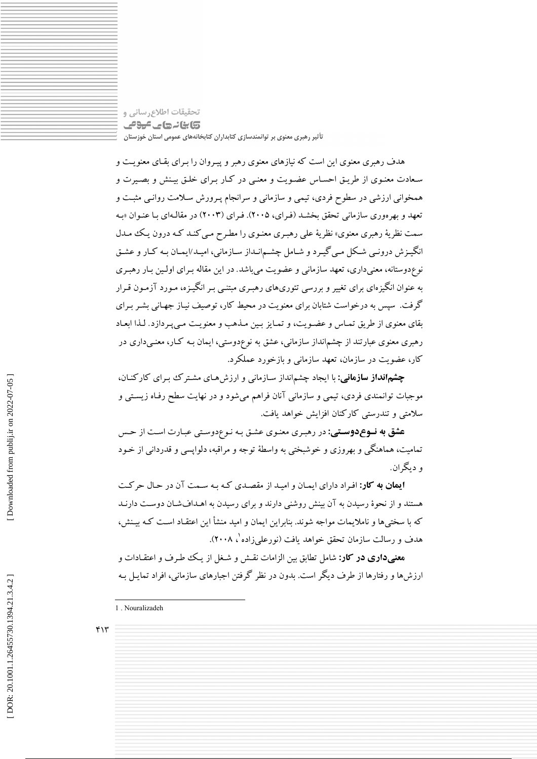تحقیقات اطلاع رسانی و **تابانے جاتے ہوئے** تأثیر رهبری معنوی بر توانمندسازی کتابداران کتابخانههای عمومی استان خوزستان

هدف رهبری معنوی این است که نیازهای معنوی رهبر و پیـروان را بـرای بقـای معنویـت و سعادت معنـوی از طریـق احسـاس عضـویت و معنـی در کـار بـرای خلـق بیـنش و بصـیرت و همخوانی ارزشی در سطوح فردی، تیمی و سازمانی و سرانجام پـرورش سـلامت روانـی مثبـت و تعهد و بهر موري سازماني تحقق بخشـد (فـراي، ٢٠٠۵). فـراي (٢٠٠٣) در مقالـهاي بـا عنـوان «بـه سمت نظریهٔ رهبری معنوی» نظریهٔ علی رهبـری معنـوی را مطـرح مـی کنـد کـه درون یـک مـدل انگیـزش درونـی شـکل مـی گیـرد و شـامل چشـمانـداز سـازمانی، امیـد/ایمـان بـه کـار و عشـق نوع دوستانه، معنیداری، تعهد سازمانی و عضویت میباشد. در این مقاله بـرای اولـین بـار رهبـری به عنوان انگیزهای برای تغییر و بررسی تئوریهای رهبـری مبتنـبی بـر انگیـزه، مـورد آزمـون قـرار گرفت. سپس به درخواست شتابان برای معنویت در محیط کار، توصیف نیاز جهـانی بشـر بـرای بقای معنوی از طریق تمـاس و عضـویت، و تمـایز بـین مـذهب و معنویـت مـیپـردازد. لـذا ابعـاد رهبری معنوی عبارتند از چشم|نداز سازمانی، عشق به نوعٖدوستی، ایمان بـه کـار، معنـیداری در کار، عضویت در سازمان، تعهد سازمانی و بازخورد عملکرد.

**چشمانداز سازمانی:** با ایجاد چشمانداز سـازمانی و ارزشهـای مشـترک بـرای کارکنـان، موجبات توانمندی فردی، تیمی و سازمانی آنان فراهم میشود و در نهایت سطح رفـاه زیسـتی و سلامتی و تندرستی کارکنان افزایش خواهد یافت.

**عشق به نـوع دوسـتي:** در رهبري معنـوي عشـق بـه نـوعدوسـتي عبـارت اسـت از حـس تمامیت، هماهنگی و بهروزی و خوشبختی به واسطهٔ توجه و مراقبه، دلوایسی و قدردانی از خـود و ديگران ِ

**ایمان به کار:** افراد دارای ایمان و امید از مقصدی که به سـمت آن در حـال حرکـت هستند و از نحوهٔ رسیدن به آن بینش روشنی دارند و برای رسیدن به اهـدافشـان دوسـت دارنـد که با سختی ها و ناملایمات مواجه شوند. بنابراین ایمان و امید منشأ این اعتقـاد اسـت کـه بیـنش، هدف و رسالت سازمان تحقق خواهد یافت (نورعلمیزاده '، ۲۰۰۸).

هعنبیداری در کار: شامل تطابق بین الزامات نقـش و شـغل از یـک طـرف و اعتقـادات و ارزش۵ها و رفتارها از طرف دیگر است. بدون در نظر گرفتن اجبارهای سازمانی، افراد تمایـل بـه

1. Nouralizadeh

 $f\$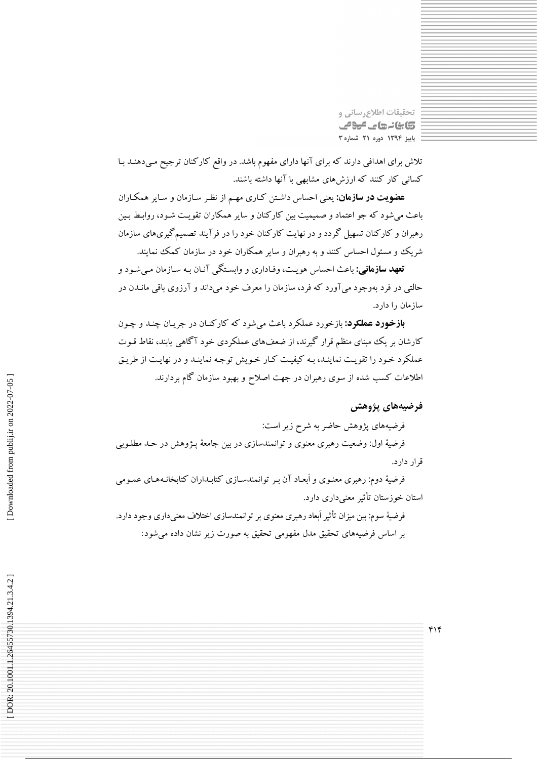تحقيقات اطلاع رساني و **تابانهای عومی** پاییز ۱۳۹۴ دوره ۲۱ شماره ۳

تلاش برای اهدافی دارند که برای آنها دارای مفهوم باشد. در واقع کارکنان ترجیح مـیدهنـد بـا کسانی کار کنند که ارزشهای مشابهی با آنها داشته باشند.

**عضویت در سازمان:** یعنی احساس داشتن کـاری مهـم از نظـر سـازمان و سـایر همکـاران باعث میشود که جو اعتماد و صمیمیت بین کارکنان و سایر همکاران تقویت شـود، روابـط بـین رهبران و کارکنان تسهیل گردد و در نهایت کارکنان خود را در فرآیند تصمیمگیریهای سازمان شریک و مسئول احساس کنند و به رهبران و سایر همکاران خود در سازمان کمک نمایند.

**تعهد سازمانی:** باعث احساس هویـت، وفـاداری و وابسـتگی آنـان بـه سـازمان مـی شـود و حالتی در فرد بهوجود میآورد که فرد، سازمان را معرف خود میداند و آرزوی باقی مانـدن در ساز مان را دارد.

**بازخورد عملکود:** بازخورد عملکرد باعث می شود که کارکنـان در جريـان چنـد و چـون کارشان بر یک مبنای منظم قرار گیرند، از ضعفهای عملکردی خود آگاهی پابند، نقاط قـوت عملکرد خـود را تقویـت نماینـد، بـه کیفیـت کـار خـویش توجـه نماینـد و در نهایـت از طریـق اطلاعات کسب شده از سوی رهبران در جهت اصلاح و بهبود سازمان گام بردارند.

# فرضيههای پژوهش

فرضیههای پژوهش حاضر به شرح زیر است: فرضیهٔ اول: وضعیت رهبری معنوی و توانمندسازی در بین جامعهٔ پـژوهش در حـد مطلـوبی قرار دارد.

فرضیهٔ دوم: رهبری معنـوی و اَبعـاد آن بـر توانمندسـازی کتابـداران کتابخانـههـای عمـومی استان خوزستان تأثير معنىدارى دارد.

فرضیهٔ سوم: بین میزان تأثیر أبعاد رهبری معنوی بر توانمندسازی اختلاف معنیداری وجود دارد. بر اساس فرضیههای تحقیق مدل مفهومی تحقیق به صورت زیر نشان داده می شود: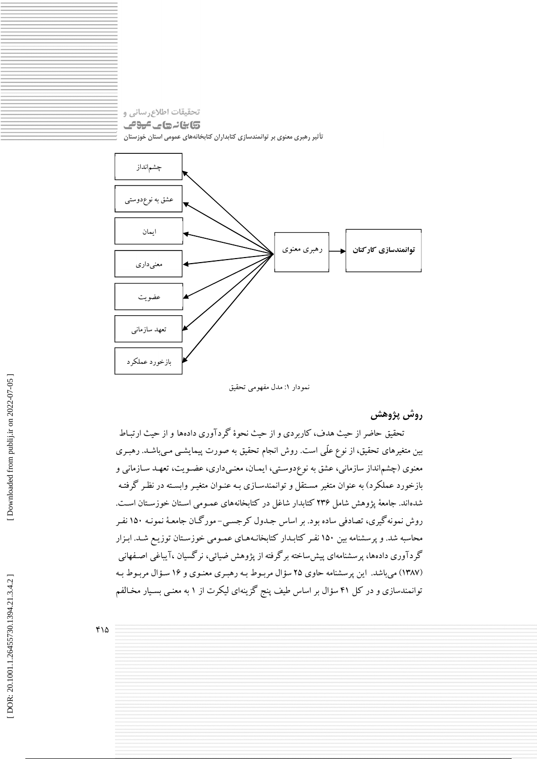



نمودار ١: مدل مفهومي تحقيق

روش پژوهش

تحقیق حاضر از حیث هدف، کاربردی و از حیث نحوهٔ گردآوری دادهها و از حیث ارتبـاط بین متغیرهای تحقیق، از نوع علّمی است. روش انجام تحقیق به صورت پیمایشــی مــیباشــد. رهبـری معنوی (چشم|نداز سازمانی، عشق به نوعدوستی، ایمـان، معنـیداری، عضـویت، تعهـد سـازمانی و بازخورد عملکرد) به عنوان متغیر مسـتقل و توانمندسـازی بـه عنـوان متغیـر وابسـته در نظـر گرفتـه شدهاند. جامعهٔ یژوهش شامل ۲۳۶ کتابدار شاغل در کتابخانههای عمـومی اسـتان خوزسـتان اسـت. روش نمونه گیری، تصادفی ساده بود. بر اساس جـدول کرجسـی- مورگـان جامعـهٔ نمونـه ۱۵۰ نفـر محاسبه شد. و پرسشنامه بین ۱۵۰ نفـر کتابـدار کتابخانـههـای عمـومی خوزسـتان توزیـع شـد. ابـزار گردآوری دادهها، پرسشنامهای پیش ساخته برگرفته از پژوهش ضیائی، نرگسیان ،آیباغی اصـفهانی (۱۳۸۷) میباشد. این پرسشنامه حاوی ۲۵ سؤال مربوط بـه رهبـری معنـوی و ۱۶ سـؤال مربـوط بـه توانمندسازی و در کل ۴۱ سؤال بر اساس طیف پنج گزینهای لیکرت از ۱ به معنـی بسـیار مخـالفم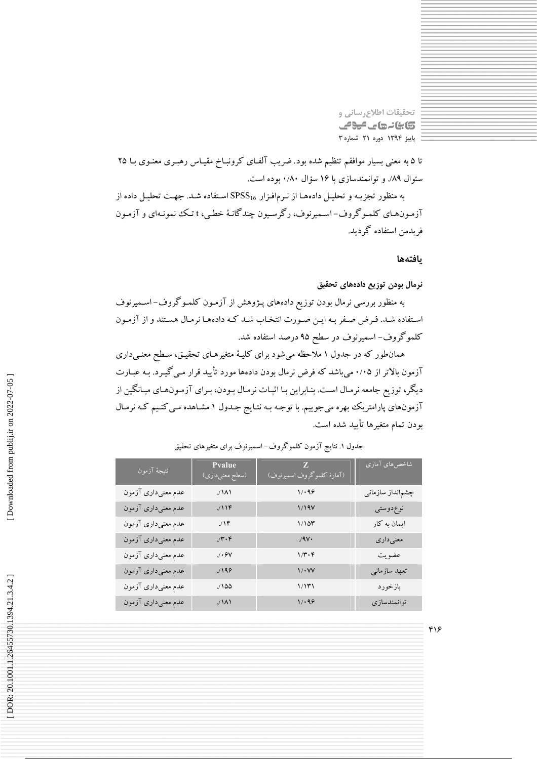تحقیقات اطلاع رسانی و 5) بنائے جاتے میونے پاییز ۱۳۹۴ دوره ۲۱ شماره ۳

تا ۵ به معنی بسیار موافقم تنظیم شده بود. ضریب آلفای کرونبـاخ مقیـاس رهبـری معنـوی بـا ۲۵ سئوال ۸۹٪ و توانمندسازی با ۱۶ سؤال ۰/۸۰ بوده است.

به منظور تجزیـه و تحلیـل دادههـا از نـرم|فـزار SPSS16 اسـتفاده شـد. جهـت تحليـل داده از آزمونهای کلموگروف-اسمیرنوف، رگرسیون چندگانهٔ خطبی، t تک نمونـهای و آزمـون فريدمن استفاده گرديد.

يافتهها

# نرمال بودن توزيع دادههاي تحقيق

به منظور بررسی نرمال بودن توزیع دادههای پـژوهش از آزمـون کلمـوگروف–اسـمیرنوف استفاده شـد. فـرض صـفر بـه ايـن صـورت انتخـاب شـد كـه دادههـا نرمـال هسـتند و از آزمـون کلموگروف- اسمیرنوف در سطح ۹۵ درصد استفاده شد.

همانطور که در جدول ۱ ملاحظه میشود برای کلیـهٔ متغیرهـای تحقیـق، سـطح معنـیداری .<br>آزمون بالاتر از ۰/۰۵ می باشد که فرض نرمال بودن دادهها مورد تأیید قرار مـی گیـرد. بـه عبـارت دیگر، توزیع جامعه نرمـال اسـت. بنـابراین بـا اثبـات نرمـال بـودن، بـرای آزمـونهـای میـانگین از آزمونهای پارامتریک بهره میجوییم. با توجه بـه نتـایج جـدول ۱ مشـاهده مـی کنـیم کـه نرمـال بودن تمام متغيرها تأييد شده است.

| نتيجهٔ آزمون       | <b>P</b> value<br>(سطح معن <u>ی</u> داری) | Z<br>(آمارهٔ کلموگروف اسمیرنوف)   | شاخصهای آماری    |
|--------------------|-------------------------------------------|-----------------------------------|------------------|
| عدم معنىدارى آزمون | $\lambda/\lambda$                         | 1/199                             | چشم نداز سازمانی |
| عدم معنىﺩﺍﺭﻯ ﺁﺯﻣﻮﻥ | 118                                       | 1/19V                             | نوع دوستي        |
| عدم معنىدارى آزمون | $1/\sqrt{r}$                              | 1/10r                             | ایمان به کار     |
| عدم معنىﺩﺍﺭﻯ ﺁﺯﻣﻮﻥ | $\gamma \cdot \mathfrak{r}$               | $.4V \cdot$                       | معنىدارى         |
| عدم معنىﺩﺍﺭﻯ ﺁﺯﻣﻮﻥ | $\gamma\cdot\mathop{\rm ev}\nolimits$     | $1/\mathfrak{r}\cdot\mathfrak{r}$ | عضويت            |
| عدم معنىﺩﺍﺭﻯ ﺁﺯﻣﻮﻥ | 1199                                      | $\sqrt{\cdot \sqrt{V}}$           | تعهد سازمانى     |
| عدم معنىﺩﺍﺭﻯ ﺁﺯﻣﻮﻥ | $/100$                                    | 1/11)                             | بازخورد          |
| عدم معنىدارى آزمون | $\lambda/\lambda$                         | 1/199                             | توانمندسازي      |

## جدول ۱. نتایج آزمون کلموگروف–اسمیرنوف برای متغیرهای تحقیق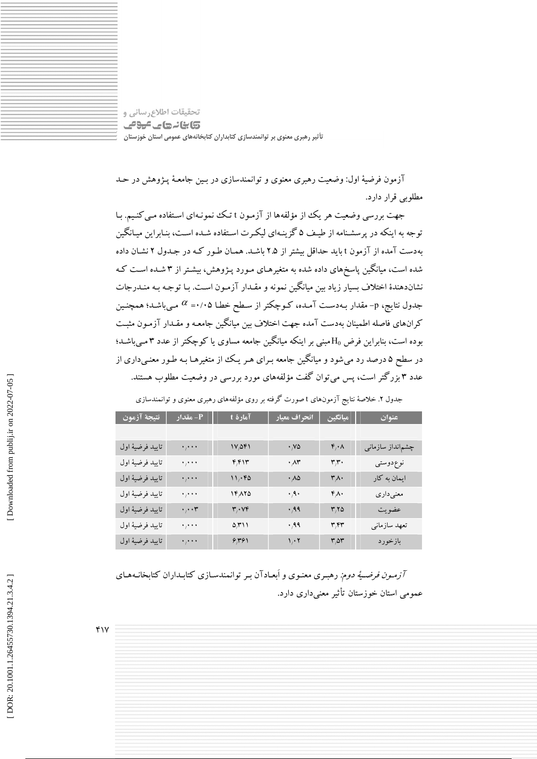تحقيقات اطلاع رساني و **تابانهای موفی** تأثیر رهبری معنوی بر توانمندسازی کتابداران کتابخانههای عمومی استان خوزستان

آزمون فرضیهٔ اول: وضعیت رهبری معنوی و توانمندسازی در بـین جامعـهٔ پـژوهش در حـد مطلوبی قرار دارد.

جهت بررسی وضعیت هر یک از مؤلفهها از آزمـون t تـک نمونـهای اسـتفاده مـی کنـیـم. بـا توجه به اینکه در پرسشنامه از طبیف ۵ گزینـهای لیکـرت اسـتفاده شـده اسـت، بنـابراین میـانگین بهدست آمده از آزمون t باید حداقل بیشتر از ۲.۵ باشـد. همـان طـور کـه در جـدول ۲ نشـان داده شده است، میانگین پاسخهای داده شده به متغیرهـای مـورد پـژوهش، بیشـتر از ۳ شـده اسـت کـه نشاندهندهٔ اختلاف بسیار زیاد بین میانگین نمونه و مقـدار آزمـون اسـت. بـا توجـه بـه منـدرجات جدول نتایج، p- مقدار بـهدسـت آمـده، کـوچکتر از سـطح خطـا ۰/۰۵=  $\alpha$  مـیباشـد؛ همچنـین كرانهاي فاصله اطمينان بهدست آمده جهت اختلاف بين ميانگين جامعـه و مقـدار آزمـون مثبـت بوده است، بنابراین فرض H<sub>0</sub> مبنی بر اینکه میانگین جامعه مساوی یا کوچکتر از عدد ۳ م<sub>حا</sub>باشـد؛ در سطح ۵ درصد رد می شود و میانگین جامعه بـرای هـر یـک از متغیرهـا بـه طـور معنـی،داری از عدد ۳ بزرگتر است، پس می توان گفت مؤلفههای مورد بررسی در وضعیت مطلوب هستند.

| نتيجة آزمون      | P- مقدار                   | آمارۂ t                  | انحراف معيار             | ميانگين                              | عنوان            |
|------------------|----------------------------|--------------------------|--------------------------|--------------------------------------|------------------|
|                  |                            |                          |                          |                                      |                  |
| تاييد فرضيهٔ اول | $\ddot{\phantom{0}}$       | $1V/\Delta f1$           | $\cdot$ , $\vee \varphi$ | $\mathfrak{r}_{/\mathfrak{r}}\wedge$ | چشم نداز سازمانی |
| تاييد فرضيهٔ اول | $\ddot{\phantom{0}}$       | F/F11                    | $\cdot \wedge r$         | $\mathbf{r}_{i}$                     | نوع دوستي        |
| تاييد فرضيهٔ اول | $\ddot{\phantom{0}}$       | 11, 50                   | $\cdot \wedge \Delta$    | $\mathbf{r}_{\cdot}$                 | ایمان به کار     |
| تاييد فرضيهٔ اول | $\ddot{\phantom{0}}$       | 15,000                   | $\cdot$ $\wedge$         | $\mathfrak{r}_{\wedge}.$             | معنىدارى         |
| تاييد فرضيهٔ اول | $\cdot$ , $\cdot$ , $\tau$ | $\mathbf{r}, \mathbf{v}$ | .49                      | $r_{1}r_{0}$                         | عضويت            |
| تاييد فرضيهٔ اول | $\ddot{\phantom{0}}$       | $\Delta/\Gamma$          | $\cdot$ ,99              | $\mathbf{r}^{\prime}$ kk             | تعهد سازمانى     |
| تاييد فرضيهٔ اول | $\ddot{\phantom{0}}$       | 5,151                    | 1, 7                     | $r_{\alpha}$                         | بازخورد          |

جدول ۲. خلاصهٔ نتایج آزمونهای t صورت گرفته بر روی مؤلفههای رهبری معنوی و توانمندسازی

*آزمون فرضيهٔ دوم: رهبری معنوی و اَبع*ادآن بـر توانمندسـازی کتابـداران کتابخانـههـای عمومی استان خوزستان تأثیر معنیداری دارد.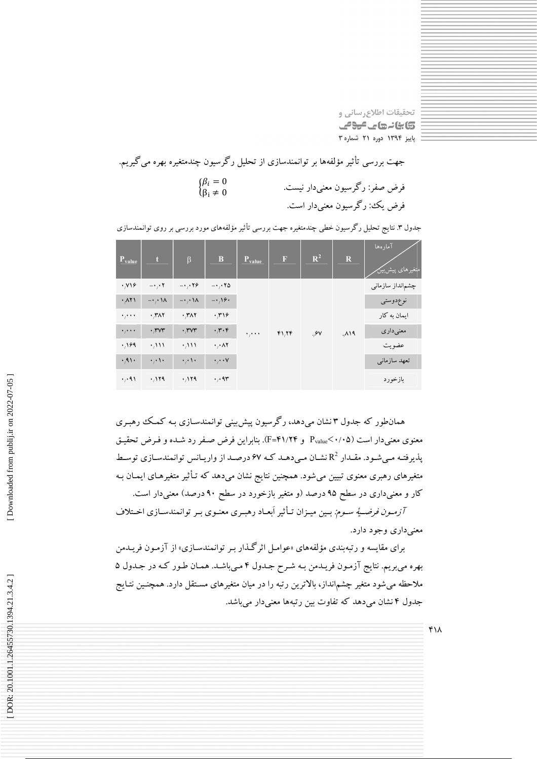تحقیقات اطلاع رسانی و 5) بنائے جاتے میونے پاییز ۱۳۹۴ دوره ۲۱ شماره ۳

جهت بررسی تأثیر مؤلفهها بر توانمندسازی از تحلیل رگرسیون چندمتغیره بهره میگیریم.  $\begin{cases} \beta_i = 0 \\ \beta_i \neq 0 \end{cases}$ فرض صفر: رگر سيون معنى دار نيست. فرض يک: رگرسيون معنىدار است.

| $P_{value}$ | $\mathbf t$                     | $\beta$                         | $\bf{B}$                              | $P_{value}$ | Π | $\mathbb{R}^2$ | $\mathbf R$ | آمار هها<br><mark>امتغیرهای پیش بین</mark> |           |
|-------------|---------------------------------|---------------------------------|---------------------------------------|-------------|---|----------------|-------------|--------------------------------------------|-----------|
| .719        | $- \cdot , \cdot \tau$          | $-1.19$                         | $-1.18$                               | معبره       |   |                |             | چشم نداز سازمانبی                          |           |
| . A Y       | $-\cdot$ , $\cdot \cdot \wedge$ | $-\cdot$ , $\cdot \cdot \wedge$ | $-1.19$                               |             |   |                |             |                                            | نوع دوستی |
| $\cdots$    | .717                            | .771                            | ۰٫۳۱۶                                 |             |   |                |             | ایمان به کار                               |           |
| $\cdots$    | $\cdot$ , $rvr$                 | $\cdot$ , $rvr$                 | $\cdot$ , $\mathsf{r}\cdot\mathsf{r}$ |             |   | F1, YF         | ⁄۰۶۷.       | ۸۱۹.                                       | معنىدارى  |
| .199        | , 111                           | .111                            | $\cdot$ , $\cdot$ $\wedge$ $\cdot$    |             |   |                |             | عضويت                                      |           |
| .41.        | ۱۰,۰۱۰                          | $\cdot$ , $\cdot$ \ $\cdot$     | $\cdot$ , $\cdot$ $\cdot$             |             |   |                |             | تعهد سازماني                               |           |
| , 41        | .119                            | .119                            | $\cdot$ , $\gamma$                    |             |   |                |             | بازخورد                                    |           |

جدول ۳. نتایج تحلیل رگرسیون خطی چندمتغیره جهت بررسی تأثیر مؤلفههای مورد بررسی بر روی توانمندسازی

همانطور که جدول ۳ نشان میردهد، رگرسیون پیش بینی توانمندسـازی بـه کـمـک رهبـری معنوی معنی دار است (۶۰/۰۵ - P<sub>value</sub> و ۴۱/۲۴=F). بنابراین فرض صیفر رد شیده و فیرض تحقیق پذیرفته میشود. مقـدار  $\mathrm{R}^2$  نشـان مـیدهـد کـه ۶۷ درصـد از واریـانس توانمندسـازی توسـط متغیرهای رهبری معنوی تبیین میشود. همچنین نتایج نشان میدهد که تـأثیر متغیرهـای ایمـان بـه کار و معنیداری در سطح ۹۵ درصد (و متغیر بازخورد در سطح ۹۰ درصد) معنیدار است.

*آزمون فرضية سـوم:* بـين ميـزان تـأثير اَبعـاد رهبـري معنـوي بـر توانمندسـازي اخـتلاف معني داري وجود دارد.

برای مقایسه و رتبه بندی مؤلفههای «عوامل اثر گذار به توانمندسازی» از آزمون فریبدمن بهره مي بريم. نتايج آزمون فريـدمن بـه شـرح جـدول ۴ مـيباشـد. همـان طـور كـه در جـدول ۵ ملاحظه میشود متغیر چشم|نداز، بالاترین رتبه را در میان متغیرهای مسـتقل دارد. همچنـین نتـایج جدول ۴ نشان می دهد که تفاوت بین رتبهها معنی دار می باشد.

 $f \wedge$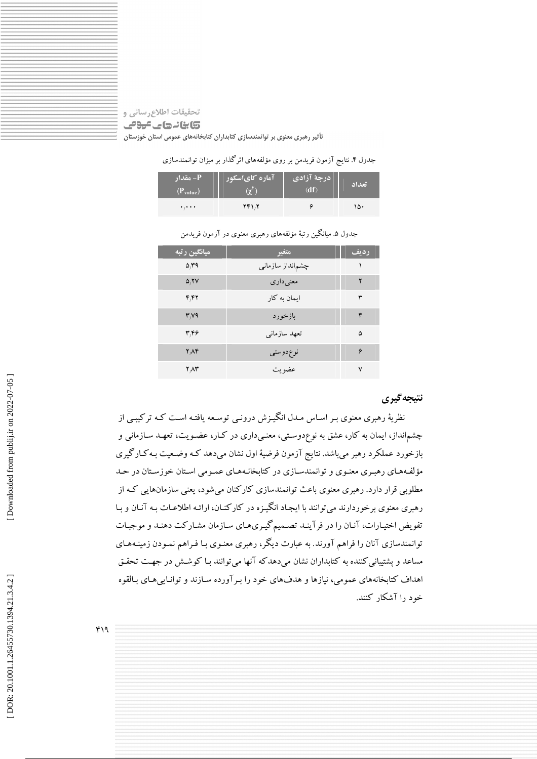# تحقيقات اطلاع رساني و **تابانهای عوص** تأثیر رهبری معنوی بر توانمندسازی کتابداران کتابخانههای عمومی استان خوزستان

جدول ۴. نتایج آزمون فریدمن بر روی مؤلفههای اثرگذار بر میزان توانمندسازی

| - مقدار P<br>$(P_{value})$ | <sup>ا</sup> آماره کایاسکور | درجة آزادي<br>(df) | تعداد |
|----------------------------|-----------------------------|--------------------|-------|
| $\cdots$                   | ۲۴۱.۲                       |                    | ۱۵۰   |

جدول ۵. میانگین رتبهٔ مؤلفههای رهبری معنوی در آزمون فریدمن

| میانگین رتبه | متغير             | رديف |
|--------------|-------------------|------|
| $\Delta T9$  | چشمانداز سازمانبی |      |
| $\Delta, YV$ | معنىدارى          | ۲    |
| ۴٬۴۲         | ایمان به کار      | ٣    |
| Y/Y          | بازخورد           | ۴    |
| ۴۴۶          | تعهد سازماني      | ۵    |
| $Y \wedge Y$ | نوع دوستي         | ۶    |
| ۲٬۸۳         | عضو بت            | ۷    |

# نتيجه گيري

نظریهٔ رهبری معنوی بـر اسـاس مـدل انگیـزش درونـی توسـعه یافتـه اسـت کـه ترکیبـی از چشم|نداز، ایمان به کار، عشق به نوعٖدوسـتی، معنـیداری در کـار، عضـویت، تعهـد سـازمانی و بازخورد عملکرد رهبر میباشد. نتایج آزمون فرضیهٔ اول نشان میدهد کـه وضـعیت بـه کـارگیری مؤلفههای رهبری معنوی و توانمندسازی در کتابخانههای عمـومی اسـتان خوزسـتان در حـد مطلوبی قرار دارد. رهبری معنوی باعث توانمندسازی کارکنان می شود، یعنی سازمانهایی کـه از رهبري معنوي برخوردارند مي توانند با ايجـاد انگيـزه در كاركنـان، ارائـه اطلاعـات بـه آنـان و بـا تفویض اختیارات، آنـان را در فرآینـد تصـمیمگیـريهـاي سـازمان مشـاركت دهنـد و موجبـات توانمندسازی آنان را فراهم آورند. به عبارت دیگر، رهبری معنـوی بـا فـراهم نمـودن زمینـههـای مساعد و پشتیبانی کننده به کتابداران نشان میدهدکه آنها میتوانند بـا کوشـش در جهـت تحقـق اهداف کتابخانههای عمومی، نیازها و هدفهای خود را بـر آورده سـازند و توانـایـی هـای بـالقوه خود ۱۱ آشکار کنند.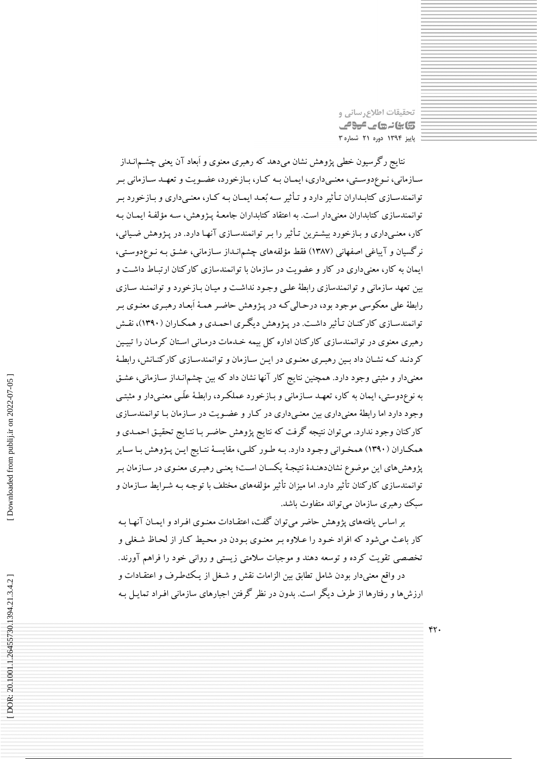نحقیقات اطلاع رسانی و کابنانہ جات میون پاییز ۱۳۹۴ دوره ۲۱ شماره ۳

 $rr.$ 

نتایج رگرسیون خطی پژوهش نشان میدهد که رهبری معنوی و اَبعاد آن یعنی چشـمانـداز سـازماني، نـوع‹دوسـتي، معنـي داري، ايمــان بــه كــار، بــازخورد، عضــويت و تعهــد ســازماني بـر توانمندسـازی کتابـداران تـأثیر دارد و تـأثیر سـه بُعـد ایمـان بـه کـار، معنـیداری و بـازخورد بـر توانمندسازی کتابداران معنیدار است. به اعتقاد کتابداران جامعـهٔ پـژوهش، سـه مؤلفـهٔ ایمـان بـه کار، معنیداری و بـازخورد بیشـترین تـأثیر را بـر توانمندسـازی آنهـا دارد. در پـژوهش ضـیائی، نرگسیان و آیباغی اصفهانی (۱۳۸۷) فقط مؤلفههای چشم|نـداز سـازمانی، عشـق بـه نـوع۱وسـتی، ایمان به کار، معنی داری در کار و عضویت در سازمان با توانمندسازی کارکنان ارتباط داشت و بین تعهد سازمانی و توانمندسازی رابطهٔ علمی وجود نداشت و میـان بـازخورد و توانمنـد سـازی رابطهٔ علی معکوسی موجود بود، درحالی کـه در پـژوهش حاضـر همـهٔ اَبعـاد رهبـري معنـوي بـر توانمندسـازی کارکنـان تـأثیر داشـت. در پـژوهش دیگـری احمـدی و همکـاران (۱۳۹۰)، نقـش رهبری معنوی در توانمندسازی کارکنان اداره کل بیمه خـدمات درمـانی اسـتان کرمـان را تبیـین کردنـد کـه نشـان داد بـین رهبـري معنـوي در ايـن سـازمان و توانمندسـازي کارکنـانش، رابطـهٔ معنیدار و مثبتی وجود دارد. همچنین نتایج کار آنها نشان داد که بین چشم|نـداز سـازمانی، عشـق به نوعٖدوستی، ایمان به کار، تعهـد سـازمانی و بـازخورد عملکـرد، رابطـهٔ علّـی معنـیدار و مثبتـی وجود دارد اما رابطهٔ معنیداری بین معنـیداری در کـار و عضـویت در سـازمان بـا توانمندسـازی کارکنان وجود ندارد. میتوان نتیجه گرفت که نتایج پژوهش حاضـر بـا نتـایج تحقیـق احمـدی و همکـاران (۱۳۹۰) همخـواني وجـود دارد. بـه طـور کلـي، مقايسـهٔ نتـايج ايـن پـژوهش بـا سـاير پژوهش های این موضوع نشاندهنـدهٔ نتیجـهٔ یکسـان اسـت؛ یعنـی رهبـری معنـوی در سـازمان بـر توانمندسازی کارکنان تأثیر دارد. اما میزان تأثیر مؤلفههای مختلف با توجـه بـه شـرایط سـازمان و سبک رهبری سازمان میتواند متفاوت باشد.

بر اساس یافتههای پژوهش حاضر میتوان گفت، اعتقـادات معنـوی افـراد و ایمـان آنهـا بـه کار باعث می شود که افراد خـود را عـلاوه بـر معنـوی بـودن در محـيط کـار از لحـاظ شـغلی و تخصصی تقویت کرده و توسعه دهند و موجبات سلامتی زیستی و روانی خود را فراهم آورند. در واقع معنىدار بودن شامل تطابق بين الزامات نقش و شـغل از يـكـُطـرف و اعتقـادات و .<br>ارزش ها و رفتارها از طرف دیگر است. بدون در نظر گرفتن اجبارهای سازمانی افـراد تمایـل بـه

Downloaded from publij.ir on 2022-07-05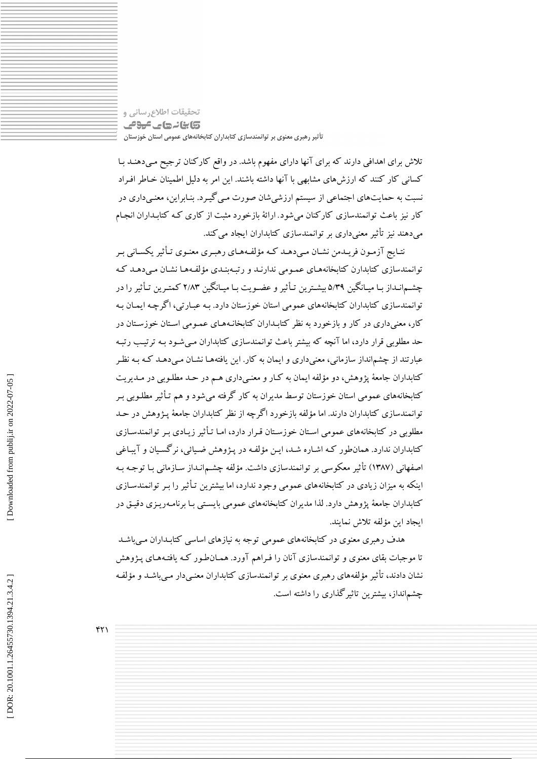تحقیقات اطلاع رسانی و **تابانے جاتے ہوئے** تأثیر رهبری معنوی بر توانمندسازی کتابداران کتابخانههای عمومی استان خوزستان

تلاش برای اهدافی دارند که برای آنها دارای مفهوم باشد. در واقع کارکنان ترجیح مـیدهنـد بـا کسانی کار کنند که ارزش های مشابهی با آنها داشته باشند. این امر به دلیل اطمینان خـاطر افـراد نسبت به حمایتهای اجتماعی از سیستم ارزشیشان صورت مـی گیـرد. بنـابراین، معنـیداری در کار نیز باعث توانمندسازی کارکنان میشود. ارائهٔ بازخورد مثبت از کاری که کتابـداران انجـام می دهند نیز تأثیر معنی داری بر توانمندسازی کتابداران ایجاد می کند.

نتـايج آزمـون فريـدمن نشـان مـي دهـد كـه مؤلفـههـاي رهبـري معنـوي تـأثير يكسـاني بـر توانمندسازی کتابدارن کتابخانههـای عمـومی ندارنـد و رتبـهبنـدی مؤلفـههـا نشـان مـیدهـد کـه چشـمانـداز بـا میـانگین ۵/۳۹ بیشـترین تـأثیر و عضـویت بـا میـانگین ۲/۸۳ کمتـرین تـأثیر را در توانمندسازی کتابداران کتابخانههای عمومی استان خوزستان دارد. بـه عبـارتی، اگرچـه ایمـان بـه کار، معنی داری در کار و بازخورد به نظر کتابـداران کتابخانـههـای عمـومی اسـتان خوزسـتان در حد مطلوبی قرار دارد، اما آنچه که بیشتر باعث توانمندسازی کتابداران مبی شـود بـه ترتیب رتبـه عبارتند از چشمانداز سازمانی، معنی داری و ایمان به کار. این یافتههـا نشـان مـی دهـد کـه بـه نظـر کتابداران جامعهٔ پژوهش، دو مؤلفه ایمان به کـار و معنـیداری هـم در حـد مطلـوبی در مـدیریت کتابخانههای عمومی استان خوزستان توسط مدیران به کار گرفته میشود و هم تـأثیر مطلـوبی بـر توانمندسازی کتابداران دارند. اما مؤلفه بازخورد اگرچه از نظر کتابداران جامعهٔ پـژوهش در حـد مطلوبی در کتابخانههای عمومی استان خوزستان قـرار دارد، امـا تـأثیر زیـادی بـر توانمندسـازی کتابداران ندارد. همانطور کـه اشـاره شـد، ايـن مؤلفـه در پـژوهش ضـيائي، نرگسـيان و آيبـاغي اصفهانی (۱۳۸۷) تأثیر معکوسی بر توانمندسازی داشت. مؤلفه چشـم|نـداز سـازمانی بـا توجـه بـه اینکه به میزان زیادی در کتابخانههای عمومی وجود ندارد، اما بیشترین تـأثیر را بـر توانمندسـازی کتابداران جامعهٔ پژوهش دارد. لذا مدیران کتابخانههای عمومی بایستی بـا برنامـهریـزی دقیـق در ايجاد اين مؤلفه تلاش نمايند.

هدف رهبری معنوی در کتابخانههای عمومی توجه به نیازهای اساسی کتابـداران مـی.باشـد تا موجبات بقای معنوی و توانمندسازی آنان را فـراهم آورد. همـانطـور کـه یافتـههـای پـژوهش نشان دادند، تأثیر مؤلفههای رهبری معنوی بر توانمندسازی کتابداران معنـیدار مـیباشـد و مؤلفـه چشمانداز، بیشترین تاثیر گذاری را داشته است.

 $YY$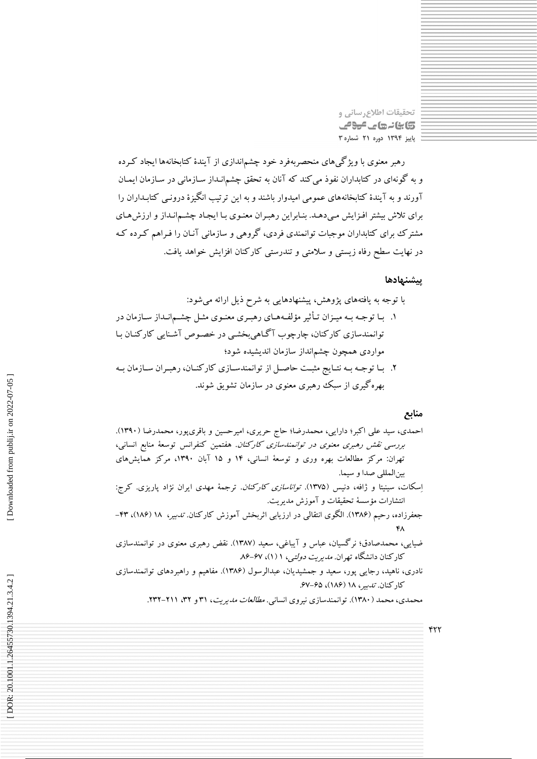تحقیقات اطلاع رسانی و 5) بنائے جاتے میونے پاییز ۱۳۹۴ دوره ۲۱ شماره ۳

رهبر معنوی با ویژگیهای منحصربهفرد خود چشم|ندازی از آیندهٔ کتابخانهها ایجاد کـرده و به گونهای در کتابداران نفوذ می کند که آنان به تحقق چشم|نـداز سـازمانی در سـازمان ایمـان آورند و به آیندهٔ کتابخانههای عمومی امیدوار باشند و به این ترتیب انگیزهٔ درونـی کتابـداران را برای تلاش بیشتر افـزایش مـیدهـد. بنـابراین رهبـران معنـوی بـا ایجـاد چشـم|نـداز و ارزش۵حای مشترک برای کتابداران موجبات توانمندی فردی، گروهی و سازمانی آنـان را فـراهم کـرده کـه در نهایت سطح رفاه زیستی و سلامتی و تندرستی کارکنان افزایش خواهد یافت.

### ييشنهادها

- با توجه به یافتههای پژوهش، پیشنهادهایی به شرح ذیل ارائه میشود: ۱. بـا توجـه بـه میـزان تـأثیر مؤلفـههـاي رهبـري معنـوي مثـل چشــم|نـداز سـازمان در توانمندسازی کارکنان، چارچوب آگاهی بخشبی در خصوص آشنایی کارکنـان بـا مواردی همچون چشمانداز سازمان اندیشیده شود؛
- ٢. با توجه بـه نتـايج مثبـت حاصـل از توانمندسـازي كاركنـان، رهبـران سـازمان بـه بهرهگیری از سبک رهبری معنوی در سازمان تشویق شوند.

### منابع

 $rrr$ 

کارکنان. *تدبیر*، ۱۸ (۱۸۶)، ۶۷-۶۷.

محمدی، محمد (۱۳۸۰). توانمندسازی نیروی انسانی. *مطالعات مدیریت*، ۳۱ و ۳۲، ۲۱۱-۲۳۲.